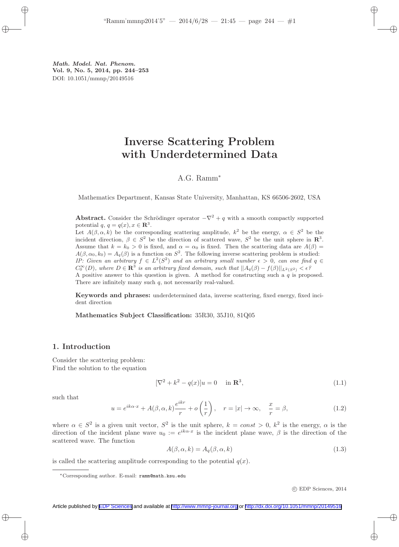Math. Model. Nat. Phenom. Vol. 9, No. 5, 2014, pp. 244–253 DOI: 10.1051/mmnp/20149516

# Inverse Scattering Problem with Underdetermined Data

## A.G. Ramm<sup>∗</sup>

Mathematics Department, Kansas State University, Manhattan, KS 66506-2602, USA

Abstract. Consider the Schrödinger operator  $-\nabla^2 + q$  with a smooth compactly supported potential  $q, q = q(x), x \in \mathbb{R}^3$ .

Let  $A(\beta, \alpha, k)$  be the corresponding scattering amplitude,  $k^2$  be the energy,  $\alpha \in S^2$  be the incident direction,  $\beta \in S^2$  be the direction of scattered wave,  $S^2$  be the unit sphere in  $\mathbb{R}^3$ . Assume that  $k = k_0 > 0$  is fixed, and  $\alpha = \alpha_0$  is fixed. Then the scattering data are  $A(\beta) =$  $A(\beta, \alpha_0, k_0) = A_q(\beta)$  is a function on  $S^2$ . The following inverse scattering problem is studied: IP: Given an arbitrary  $f \in L^2(S^2)$  and an arbitrary small number  $\epsilon > 0$ , can one find  $q \in$  $C_0^{\infty}(D)$ , where  $D \in \mathbf{R}^3$  is an arbitrary fixed domain, such that  $||A_q(\beta) - f(\beta)||_{L^2(S^2)} < \epsilon$ ? A positive answer to this question is given. A method for constructing such a q is proposed. There are infinitely many such  $q$ , not necessarily real-valued.

Keywords and phrases: underdetermined data, inverse scattering, fixed energy, fixed incident direction

Mathematics Subject Classification: 35R30, 35J10, 81Q05

### 1. Introduction

Consider the scattering problem: Find the solution to the equation

$$
[\nabla^2 + k^2 - q(x)]u = 0 \quad \text{in } \mathbf{R}^3,
$$
\n(1.1)

such that

$$
u = e^{ik\alpha \cdot x} + A(\beta, \alpha, k) \frac{e^{ikr}}{r} + o\left(\frac{1}{r}\right), \quad r = |x| \to \infty, \quad \frac{x}{r} = \beta,
$$
 (1.2)

where  $\alpha \in S^2$  is a given unit vector,  $S^2$  is the unit sphere,  $k = const > 0$ ,  $k^2$  is the energy,  $\alpha$  is the direction of the incident plane wave  $u_0 := e^{ik\alpha \cdot x}$  is the incident plane wave,  $\beta$  is the direction of the scattered wave. The function

$$
A(\beta, \alpha, k) = A_q(\beta, \alpha, k) \tag{1.3}
$$

is called the scattering amplitude corresponding to the potential  $q(x)$ .

c EDP Sciences, 2014

<sup>∗</sup>Corresponding author. E-mail: ramm@math.ksu.edu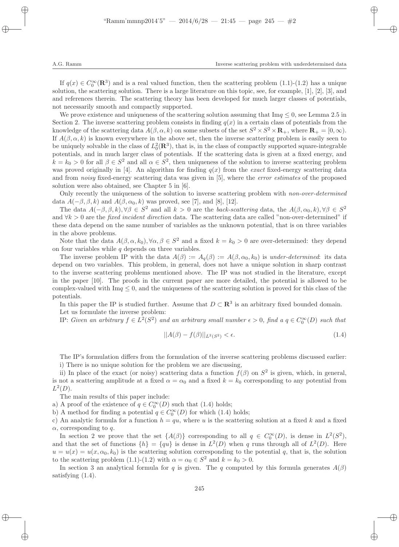If  $q(x) \in C_0^{\infty}(\mathbf{R}^3)$  and is a real valued function, then the scattering problem  $(1.1)-(1.2)$  has a unique solution, the scattering solution. There is a large literature on this topic, see, for example, [1], [2], [3], and and references therein. The scattering theory has been developed for much larger classes of potentials, not necessarily smooth and compactly supported.

We prove existence and uniqueness of the scattering solution assuming that  $\text{Im}q \leq 0$ , see Lemma 2.5 in Section 2. The inverse scattering problem consists in finding  $q(x)$  in a certain class of potentials from the knowledge of the scattering data  $A(\beta, \alpha, k)$  on some subsets of the set  $S^2 \times S^2 \times \mathbf{R}_+$ , where  $\mathbf{R}_+ = [0, \infty)$ . If  $A(\beta, \alpha, k)$  is known everywhere in the above set, then the inverse scattering problem is easily seen to be uniquely solvable in the class of  $L_0^2(\mathbf{R}^3)$ , that is, in the class of compactly supported square-integrable potentials, and in much larger class of potentials. If the scattering data is given at a fixed energy, and  $k = k_0 > 0$  for all  $\beta \in S^2$  and all  $\alpha \in S^2$ , then uniqueness of the solution to inverse scattering problem was proved originally in [4]. An algorithm for finding  $q(x)$  from the exact fixed-energy scattering data and from *noisy* fixed-energy scattering data was given in [5], where the *error estimates* of the proposed solution were also obtained, see Chapter 5 in [6].

Only recently the uniqueness of the solution to inverse scattering problem with *non-over-determined* data  $A(-\beta, \beta, k)$  and  $A(\beta, \alpha_0, k)$  was proved, see [7], and [8], [12].

The data  $A(-\beta, \beta, k), \forall \beta \in S^2$  and all  $k > 0$  are the back-scattering data, the  $A(\beta, \alpha_0, k), \forall \beta \in S^2$ and  $\forall k > 0$  are the *fixed incident direction* data. The scattering data are called "non-over-determined" if these data depend on the same number of variables as the unknown potential, that is on three variables in the above problems.

Note that the data  $A(\beta, \alpha, k_0), \forall \alpha, \beta \in S^2$  and a fixed  $k = k_0 > 0$  are over-determined: they depend on four variables while  $q$  depends on three variables.

The inverse problem IP with the data  $A(\beta) := A_{\alpha}(\beta) := A(\beta, \alpha_0, k_0)$  is under-determined: its data depend on two variables. This problem, in general, does not have a unique solution in sharp contrast to the inverse scattering problems mentioned above. The IP was not studied in the literature, except in the paper [10]. The proofs in the current paper are more detailed, the potential is allowed to be complex-valued with  $\text{Im}q \leq 0$ , and the uniqueness of the scattering solution is proved for this class of the potentials.

In this paper the IP is studied further. Assume that  $D \subset \mathbb{R}^3$  is an arbitrary fixed bounded domain. Let us formulate the inverse problem:

IP: Given an arbitrary  $f \in L^2(S^2)$  and an arbitrary small number  $\epsilon > 0$ , find a  $q \in C_0^{\infty}(D)$  such that

$$
||A(\beta) - f(\beta)||_{L^2(S^2)} < \epsilon. \tag{1.4}
$$

The IP's formulation differs from the formulation of the inverse scattering problems discussed earlier: i) There is no unique solution for the problem we are discussing,

ii) In place of the exact (or noisy) scattering data a function  $f(\beta)$  on  $S^2$  is given, which, in general, is not a scattering amplitude at a fixed  $\alpha = \alpha_0$  and a fixed  $k = k_0$  corresponding to any potential from  $L^2(D)$ .

The main results of this paper include:

a) A proof of the existence of  $q \in C_0^{\infty}(D)$  such that (1.4) holds;

b) A method for finding a potential  $q \in C_0^{\infty}(D)$  for which (1.4) holds;

c) An analytic formula for a function  $h = qu$ , where u is the scattering solution at a fixed k and a fixed  $\alpha$ , corresponding to q.

In section 2 we prove that the set  $\{A(\beta)\}\)$  corresponding to all  $q \in C_0^{\infty}(D)$ , is dense in  $L^2(S^2)$ , and that the set of functions  $\{h\} = \{qu\}$  is dense in  $L^2(D)$  when q runs through all of  $L^2(D)$ . Here  $u = u(x) = u(x, \alpha_0, k_0)$  is the scattering solution corresponding to the potential q, that is, the solution to the scattering problem (1.1)-(1.2) with  $\alpha = \alpha_0 \in S^2$  and  $k = k_0 > 0$ .

In section 3 an analytical formula for q is given. The q computed by this formula generates  $A(\beta)$ satisfying  $(1.4)$ .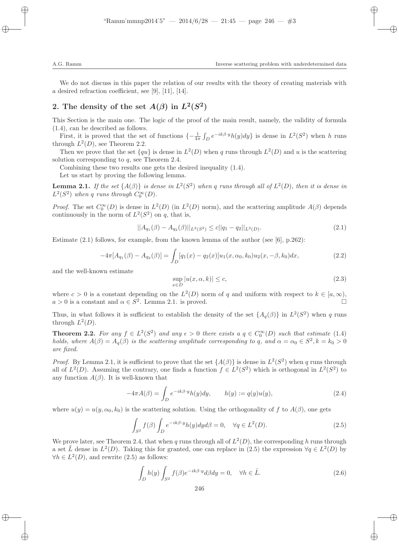We do not discuss in this paper the relation of our results with the theory of creating materials with a desired refraction coefficient, see [9], [11], [14].

# 2. The density of the set  $A(\beta)$  in  $L^2(S^2)$

This Section is the main one. The logic of the proof of the main result, namely, the validity of formula (1.4), can be described as follows.

First, it is proved that the set of functions  $\{-\frac{1}{4\pi}\int_D e^{-ik\beta \cdot y}h(y)dy\}$  is dense in  $L^2(S^2)$  when h runs through  $L^2(D)$ , see Theorem 2.2.

Then we prove that the set  $\{qu\}$  is dense in  $L^2(D)$  when q runs through  $L^2(D)$  and u is the scattering solution corresponding to  $q$ , see Theorem 2.4.

Combining these two results one gets the desired inequality (1.4).

Let us start by proving the following lemma.

**Lemma 2.1.** If the set  $\{A(\beta)\}\$ is dense in  $L^2(S^2)$  when q runs through all of  $L^2(D)$ , then it is dense in  $L^2(S^2)$  when q runs through  $C_0^{\infty}(D)$ .

*Proof.* The set  $C_0^{\infty}(D)$  is dense in  $L^2(D)$  (in  $L^2(D)$  norm), and the scattering amplitude  $A(\beta)$  depends continuously in the norm of  $L^2(S^2)$  on q, that is,

$$
||A_{q_1}(\beta) - A_{q_2}(\beta)||_{L^2(S^2)} \le c||q_1 - q_2||_{L^2(D)}.
$$
\n(2.1)

Estimate  $(2.1)$  follows, for example, from the known lemma of the author (see [6], p.262):

$$
-4\pi[A_{q_1}(\beta) - A_{q_2}(\beta)] = \int_D [q_1(x) - q_2(x)]u_1(x, \alpha_0, k_0)u_2(x, -\beta, k_0)dx, \qquad (2.2)
$$

and the well-known estimate

$$
\sup_{x \in D} |u(x, \alpha, k)| \le c,\tag{2.3}
$$

where  $c > 0$  is a constant depending on the  $L^2(D)$  norm of q and uniform with respect to  $k \in [a, \infty)$ ,  $a > 0$  is a constant and  $\alpha \in S^2$ . Lemma 2.1. is proved.

Thus, in what follows it is sufficient to establish the density of the set  $\{A_q(\beta)\}\$ in  $L^2(S^2)$  when q runs through  $L^2(D)$ .

**Theorem 2.2.** For any  $f \in L^2(S^2)$  and any  $\epsilon > 0$  there exists a  $q \in C_0^{\infty}(D)$  such that estimate (1.4) holds, where  $A(\beta) = A_q(\beta)$  is the scattering amplitude corresponding to q, and  $\alpha = \alpha_0 \in S^2$ ,  $k = k_0 > 0$ are fixed.

*Proof.* By Lemma 2.1, it is sufficient to prove that the set  $\{A(\beta)\}\$ is dense in  $L^2(S^2)$  when q runs through all of  $L^2(D)$ . Assuming the contrary, one finds a function  $f \in L^2(S^2)$  which is orthogonal in  $L^2(S^2)$  to any function  $A(\beta)$ . It is well-known that

$$
-4\pi A(\beta) = \int_D e^{-ik\beta \cdot y} h(y) dy, \qquad h(y) := q(y)u(y), \tag{2.4}
$$

where  $u(y) = u(y, \alpha_0, k_0)$  is the scattering solution. Using the orthogonality of f to  $A(\beta)$ , one gets

$$
\int_{S^2} f(\beta) \int_D e^{-ik\beta \cdot y} h(y) dy d\beta = 0, \quad \forall q \in L^2(D).
$$
\n(2.5)

We prove later, see Theorem 2.4, that when q runs through all of  $L^2(D)$ , the corresponding h runs through a set  $\tilde{L}$  dense in  $L^2(D)$ . Taking this for granted, one can replace in (2.5) the expression  $\forall q \in L^2(D)$  by  $\forall h \in L^2(D)$ , and rewrite (2.5) as follows:

$$
\int_{D} h(y) \int_{S^2} f(\beta) e^{-ik\beta \cdot y} d\beta dy = 0, \quad \forall h \in \tilde{L}.
$$
\n(2.6)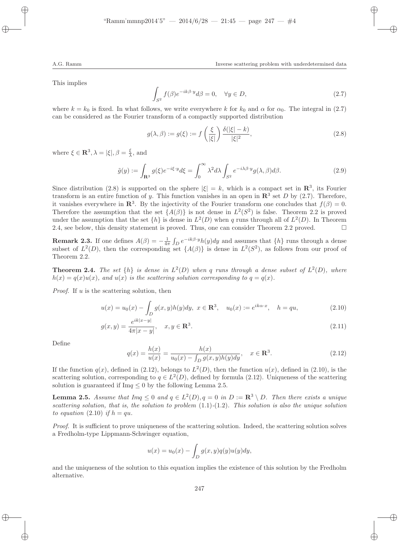This implies

$$
\int_{S^2} f(\beta)e^{-ik\beta \cdot y} d\beta = 0, \quad \forall y \in D,
$$
\n(2.7)

where  $k = k_0$  is fixed. In what follows, we write everywhere k for  $k_0$  and  $\alpha$  for  $\alpha_0$ . The integral in (2.7) can be considered as the Fourier transform of a compactly supported distribution

$$
g(\lambda,\beta) := g(\xi) := f\left(\frac{\xi}{|\xi|}\right) \frac{\delta(|\xi| - k)}{|\xi|^2},\tag{2.8}
$$

where  $\xi \in \mathbf{R}^3$ ,  $\lambda = |\xi|$ ,  $\beta = \frac{\xi}{\lambda}$ , and

$$
\tilde{g}(y) := \int_{\mathbf{R}^3} g(\xi) e^{-i\xi \cdot y} d\xi = \int_0^\infty \lambda^2 d\lambda \int_{S^2} e^{-i\lambda \beta \cdot y} g(\lambda, \beta) d\beta.
$$
\n(2.9)

Since distribution (2.8) is supported on the sphere  $|\xi| = k$ , which is a compact set in  $\mathbb{R}^3$ , its Fourier transform is an entire function of y. This function vanishes in an open in  $\mathbb{R}^3$  set D by (2.7). Therefore, it vanishes everywhere in  $\mathbb{R}^3$ . By the injectivity of the Fourier transform one concludes that  $f(\beta) = 0$ . Therefore the assumption that the set  $\{A(\beta)\}\$ is not dense in  $L^2(S^2)$  is false. Theorem 2.2 is proved under the assumption that the set  $\{h\}$  is dense in  $L^2(D)$  when q runs through all of  $L^2(D)$ . In Theorem 2.4, see below, this density statement is proved. Thus, one can consider Theorem 2.2 proved.  $\square$ 

**Remark 2.3.** If one defines  $A(\beta) = -\frac{1}{4\pi} \int_D e^{-ik\beta \cdot y} h(y) dy$  and assumes that  $\{h\}$  runs through a dense subset of  $L^2(D)$ , then the corresponding set  $\{A(\beta)\}\$ is dense in  $L^2(S^2)$ , as follows from our proof of Theorem 2.2.

**Theorem 2.4.** The set  $\{h\}$  is dense in  $L^2(D)$  when q runs through a dense subset of  $L^2(D)$ , where  $h(x) = g(x)u(x)$ , and  $u(x)$  is the scattering solution corresponding to  $g = g(x)$ .

*Proof.* If  $u$  is the scattering solution, then

$$
u(x) = u_0(x) - \int_D g(x, y)h(y)dy, \ x \in \mathbb{R}^3, \quad u_0(x) := e^{ik\alpha \cdot x}, \quad h = qu,
$$
\n(2.10)

$$
g(x,y) = \frac{e^{ik|x-y|}}{4\pi|x-y|}, \quad x, y \in \mathbf{R}^3.
$$
 (2.11)

Define

$$
q(x) = \frac{h(x)}{u(x)} = \frac{h(x)}{u_0(x) - \int_D g(x, y)h(y)dy}, \quad x \in \mathbb{R}^3.
$$
 (2.12)

If the function  $q(x)$ , defined in (2.12), belongs to  $L^2(D)$ , then the function  $u(x)$ , defined in (2.10), is the scattering solution, corresponding to  $q \in L^2(D)$ , defined by formula (2.12). Uniqueness of the scattering solution is guaranteed if  $\text{Im} q \leq 0$  by the following Lemma 2.5.

**Lemma 2.5.** Assume that  $Imq \leq 0$  and  $q \in L^2(D)$ ,  $q = 0$  in  $D := \mathbb{R}^3 \setminus D$ . Then there exists a unique scattering solution, that is, the solution to problem  $(1.1)-(1.2)$ . This solution is also the unique solution to equation (2.10) if  $h = qu$ .

Proof. It is sufficient to prove uniqueness of the scattering solution. Indeed, the scattering solution solves a Fredholm-type Lippmann-Schwinger equation,

$$
u(x) = u_0(x) - \int_D g(x, y)q(y)u(y)dy,
$$

and the uniqueness of the solution to this equation implies the existence of this solution by the Fredholm alternative.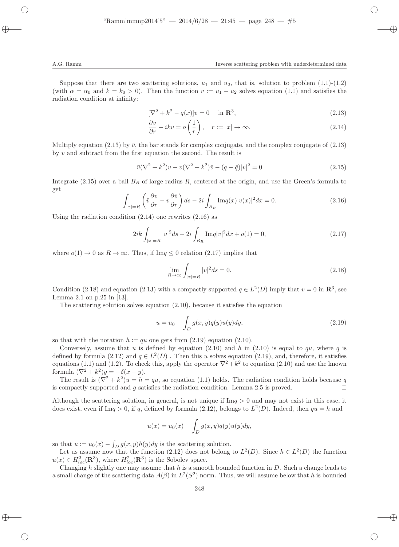Suppose that there are two scattering solutions,  $u_1$  and  $u_2$ , that is, solution to problem (1.1)-(1.2) (with  $\alpha = \alpha_0$  and  $k = k_0 > 0$ ). Then the function  $v := u_1 - u_2$  solves equation (1.1) and satisfies the radiation condition at infinity:

$$
[\nabla^2 + k^2 - q(x)]v = 0 \quad \text{in } \mathbf{R}^3,
$$
\n(2.13)

$$
\frac{\partial v}{\partial r} - ikv = o\left(\frac{1}{r}\right), \quad r := |x| \to \infty.
$$
\n(2.14)

Multiply equation (2.13) by  $\bar{v}$ , the bar stands for complex conjugate, and the complex conjugate of (2.13) by v and subtract from the first equation the second. The result is

$$
\bar{v}(\nabla^2 + k^2)v - v(\nabla^2 + k^2)\bar{v} - (q - \bar{q})|v|^2 = 0
$$
\n(2.15)

Integrate (2.15) over a ball  $B_R$  of large radius R, centered at the origin, and use the Green's formula to get

$$
\int_{|x|=R} \left(\bar{v}\frac{\partial v}{\partial r} - v\frac{\partial \bar{v}}{\partial r}\right) ds - 2i \int_{B_R} \text{Im}q(x)|v(x)|^2 dx = 0. \tag{2.16}
$$

Using the radiation condition (2.14) one rewrites (2.16) as

$$
2ik \int_{|x|=R} |v|^2 ds - 2i \int_{B_R} \text{Im} q|v|^2 dx + o(1) = 0,
$$
\n(2.17)

where  $o(1) \rightarrow 0$  as  $R \rightarrow \infty$ . Thus, if Im $q \leq 0$  relation (2.17) implies that

$$
\lim_{R \to \infty} \int_{|x| = R} |v|^2 ds = 0.
$$
\n(2.18)

Condition (2.18) and equation (2.13) with a compactly supported  $q \in L^2(D)$  imply that  $v = 0$  in  $\mathbb{R}^3$ , see Lemma 2.1 on p.25 in [13].

The scattering solution solves equation  $(2.10)$ , because it satisfies the equation

$$
u = u_0 - \int_D g(x, y)q(y)u(y)dy,
$$
\n(2.19)

so that with the notation  $h := qu$  one gets from  $(2.19)$  equation  $(2.10)$ .

Conversely, assume that u is defined by equation (2.10) and h in (2.10) is equal to  $qu$ , where q is defined by formula  $(2.12)$  and  $q \in L^2(D)$ . Then this u solves equation  $(2.19)$ , and, therefore, it satisfies equations (1.1) and (1.2). To check this, apply the operator  $\nabla^2 + k^2$  to equation (2.10) and use the known formula  $(\nabla^2 + k^2)g = -\delta(x - y).$ 

The result is  $(\nabla^2 + k^2)u = h = qu$ , so equation (1.1) holds. The radiation condition holds because q is compactly supported and q satisfies the radiation condition. Lemma 2.5 is proved.

Although the scattering solution, in general, is not unique if  $\text{Im}q > 0$  and may not exist in this case, it does exist, even if Im $q > 0$ , if q, defined by formula (2.12), belongs to  $L^2(D)$ . Indeed, then  $qu = h$  and

$$
u(x) = u_0(x) - \int_D g(x, y)q(y)u(y)dy,
$$

so that  $u := u_0(x) - \int_D g(x, y)h(y)dy$  is the scattering solution.

Let us assume now that the function (2.12) does not belong to  $L^2(D)$ . Since  $h \in L^2(D)$  the function  $u(x) \in H_{loc}^2(\mathbf{R}^3)$ , where  $H_{loc}^2(\mathbf{R}^3)$  is the Sobolev space.

Changing h slightly one may assume that h is a smooth bounded function in  $D$ . Such a change leads to a small change of the scattering data  $A(\beta)$  in  $L^2(S^2)$  norm. Thus, we will assume below that h is bounded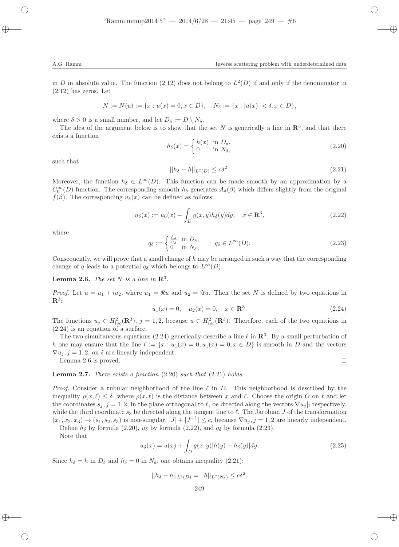in D in absolute value. The function (2.12) does not belong to  $L^2(D)$  if and only if the denominator in (2.12) has zeros. Let

$$
N := N(u) := \{x : u(x) = 0, x \in D\}, \quad N_{\delta} := \{x : |u(x)| < \delta, x \in D\},
$$

where  $\delta > 0$  is a small number, and let  $D_{\delta} := D \setminus N_{\delta}$ .

The idea of the argument below is to show that the set N is generically a line in  $\mathbb{R}^3$ , and that there exists a function

$$
h_{\delta}(x) = \begin{cases} h(x) & \text{in } D_{\delta}, \\ 0 & \text{in } N_{\delta}, \end{cases}
$$
 (2.20)

such that

$$
||h_{\delta} - h||_{L^{2}(D)} \leq c\delta^{2}.
$$
\n
$$
(2.21)
$$

Moreover, the function  $h_{\delta} \in L^{\infty}(D)$ . This function can be made smooth by an approximation by a  $C_0^{\infty}(D)$ -function. The corresponding smooth  $h_{\delta}$  generates  $A_{\delta}(\beta)$  which differs slightly from the original  $f(\beta)$ . The corresponding  $u_{\delta}(x)$  can be defined as follows:

$$
u_{\delta}(x) := u_0(x) - \int_D g(x, y) h_{\delta}(y) dy, \quad x \in \mathbf{R}^3,
$$
\n(2.22)

where

$$
q_{\delta} := \begin{cases} \frac{h_{\delta}}{u_{\delta}} & \text{in } D_{\delta}, \\ 0 & \text{in } N_{\delta}, \end{cases} \qquad q_{\delta} \in L^{\infty}(D). \tag{2.23}
$$

Consequently, we will prove that a small change of  $h$  may be arranged in such a way that the corresponding change of q leads to a potential  $q_\delta$  which belongs to  $L^\infty(D)$ .

**Lemma 2.6.** The set N is a line in  $\mathbb{R}^3$ .

*Proof.* Let  $u = u_1 + iu_2$ , where  $u_1 = \Re u$  and  $u_2 = \Im u$ . Then the set N is defined by two equations in  $\mathbf{R}^3$ :

$$
u_1(x) = 0, \quad u_2(x) = 0, \quad x \in \mathbb{R}^3. \tag{2.24}
$$

The functions  $u_j \in H_{loc}^2(\mathbf{R}^3)$ ,  $j = 1, 2$ , because  $u \in H_{loc}^2(\mathbf{R}^3)$ . Therefore, each of the two equations in (2.24) is an equation of a surface.

The two simultaneous equations (2.24) generically describe a line  $\ell$  in  $\mathbb{R}^3$ . By a small perturbation of h one may ensure that the line  $\ell := \{x : u_1(x) = 0, u_1(x) = 0, x \in D\}$  is smooth in D and the vectors  $\nabla u_i, j = 1, 2$ , on  $\ell$  are linearly independent.

Lemma 2.6 is proved.  $\square$ 

**Lemma 2.7.** There exists a function  $(2.20)$  such that  $(2.21)$  holds.

*Proof.* Consider a tubular neighborhood of the line  $\ell$  in D. This neighborhood is described by the inequality  $\rho(x,\ell) \leq \delta$ , where  $\rho(x,\ell)$  is the distance between x and  $\ell$ . Choose the origin O on  $\ell$  and let the coordinates  $s_j$ ,  $j = 1, 2$ , in the plane orthogonal to  $\ell$ , be directed along the vectors  $\nabla u_j|_l$  respectively, while the third coordinate  $s_3$  be directed along the tangent line to  $\ell$ . The Jacobian J of the transformation  $(x_1, x_2, x_3) \rightarrow (s_1, s_2, s_3)$  is non-singular,  $|J| + |J^{-1}| \le c$ , because  $\nabla u_j, j = 1, 2$  are linearly independent. Define  $h_{\delta}$  by formula (2.20),  $u_{\delta}$  by formula (2.22), and  $q_{\delta}$  by formula (2.23).

Note that

$$
u_{\delta}(x) = u(x) + \int_{D} g(x, y)[h(y) - h_{\delta}(y)]dy.
$$
 (2.25)

Since  $h_{\delta} = h$  in  $D_{\delta}$  and  $h_{\delta} = 0$  in  $N_{\delta}$ , one obtains inequality (2.21):

$$
||h_{\delta} - h||_{L^{2}(D)} = ||h||_{L^{2}(N_{\delta})} \leq c\delta^{2},
$$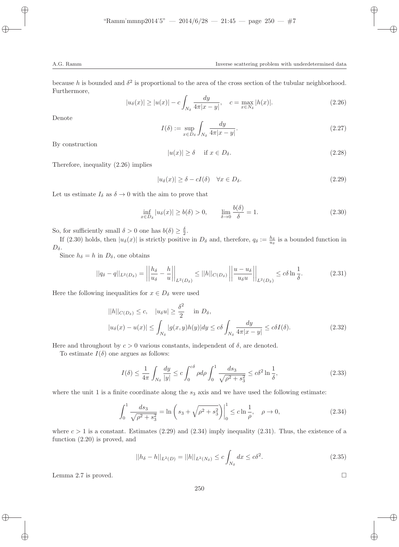because h is bounded and  $\delta^2$  is proportional to the area of the cross section of the tubular neighborhood. Furthermore,

$$
|u_{\delta}(x)| \ge |u(x)| - c \int_{N_{\delta}} \frac{dy}{4\pi |x - y|}, \quad c = \max_{x \in N_{\delta}} |h(x)|. \tag{2.26}
$$

Denote

$$
I(\delta) := \sup_{x \in D_{\delta}} \int_{N_{\delta}} \frac{dy}{4\pi |x - y|}.
$$
\n(2.27)

By construction

$$
|u(x)| \ge \delta \quad \text{if } x \in D_{\delta}.\tag{2.28}
$$

Therefore, inequality (2.26) implies

$$
|u_{\delta}(x)| \ge \delta - cI(\delta) \quad \forall x \in D_{\delta}.\tag{2.29}
$$

Let us estimate  $I_{\delta}$  as  $\delta \rightarrow 0$  with the aim to prove that

$$
\inf_{x \in D_{\delta}} |u_{\delta}(x)| \ge b(\delta) > 0, \qquad \lim_{\delta \to 0} \frac{b(\delta)}{\delta} = 1. \tag{2.30}
$$

So, for sufficiently small  $\delta > 0$  one has  $b(\delta) \geq \frac{\delta}{2}$ .

If (2.30) holds, then  $|u_{\delta}(x)|$  is strictly positive in  $D_{\delta}$  and, therefore,  $q_{\delta} := \frac{h_{\delta}}{u_{\delta}}$  is a bounded function in  $D_{\delta}$ .

Since  $h_{\delta} = h$  in  $D_{\delta}$ , one obtains

$$
||q_{\delta} - q||_{L^{2}(D_{\delta})} = \left\| \frac{h_{\delta}}{u_{\delta}} - \frac{h}{u} \right\|_{L^{2}(D_{\delta})} \leq ||h||_{C(D_{\delta})} \left\| \frac{u - u_{\delta}}{u_{\delta}u} \right\|_{L^{2}(D_{\delta})} \leq c\delta \ln \frac{1}{\delta}.
$$
 (2.31)

Here the following inequalities for  $x \in D_{\delta}$  were used

$$
||h||_{C(D_{\delta})} \leq c, \quad |u_{\delta}u| \geq \frac{\delta^2}{2} \quad \text{in } D_{\delta},
$$
  

$$
|u_{\delta}(x) - u(x)| \leq \int_{N_{\delta}} |g(x, y)h(y)| dy \leq c\delta \int_{N_{\delta}} \frac{dy}{4\pi |x - y|} \leq c\delta I(\delta).
$$
 (2.32)

Here and throughout by  $c > 0$  various constants, independent of  $\delta$ , are denoted.

To estimate  $I(\delta)$  one argues as follows:

$$
I(\delta) \le \frac{1}{4\pi} \int_{N_{\delta}} \frac{dy}{|y|} \le c \int_0^{c\delta} \rho d\rho \int_0^1 \frac{ds_3}{\sqrt{\rho^2 + s_3^2}} \le c\delta^2 \ln\frac{1}{\delta},\tag{2.33}
$$

where the unit 1 is a finite coordinate along the  $s_3$  axis and we have used the following estimate:

$$
\int_0^1 \frac{ds_3}{\sqrt{\rho^2 + s_3^2}} = \ln\left(s_3 + \sqrt{\rho^2 + s_3^2}\right)\Big|_0^1 \le c \ln\frac{1}{\rho}, \quad \rho \to 0,
$$
\n(2.34)

where  $c > 1$  is a constant. Estimates (2.29) and (2.34) imply inequality (2.31). Thus, the existence of a function (2.20) is proved, and

$$
||h_{\delta} - h||_{L^{2}(D)} = ||h||_{L^{2}(N_{\delta})} \leq c \int_{N_{\delta}} dx \leq c\delta^{2}.
$$
\n(2.35)

Lemma 2.7 is proved.  $\square$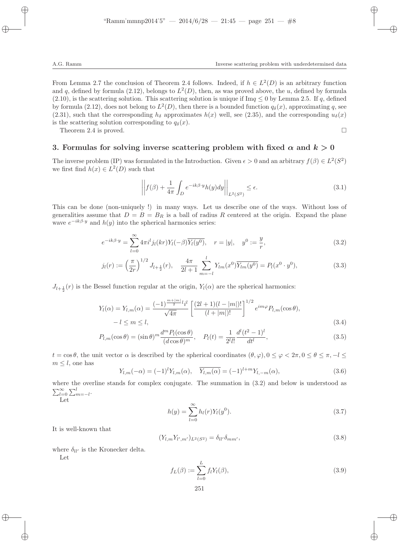From Lemma 2.7 the conclusion of Theorem 2.4 follows. Indeed, if  $h \in L^2(D)$  is an arbitrary function and q, defined by formula (2.12), belongs to  $L^2(D)$ , then, as was proved above, the u, defined by formula  $(2.10)$ , is the scattering solution. This scattering solution is unique if Im $q \leq 0$  by Lemma 2.5. If q, defined by formula (2.12), does not belong to  $L^2(D)$ , then there is a bounded function  $q_\delta(x)$ , approximating q, see (2.31), such that the corresponding  $h_{\delta}$  approximates  $h(x)$  well, see (2.35), and the corresponding  $u_{\delta}(x)$ is the scattering solution corresponding to  $q_{\delta}(x)$ .

Theorem 2.4 is proved.  $\square$ 

### 3. Formulas for solving inverse scattering problem with fixed  $\alpha$  and  $k > 0$

The inverse problem (IP) was formulated in the Introduction. Given  $\epsilon > 0$  and an arbitrary  $f(\beta) \in L^2(S^2)$ we first find  $h(x) \in L^2(D)$  such that

$$
\left| \left| f(\beta) + \frac{1}{4\pi} \int_{D} e^{-ik\beta \cdot y} h(y) dy \right| \right|_{L^{2}(S^{2})} \le \epsilon.
$$
 (3.1)

This can be done (non-uniquely !) in many ways. Let us describe one of the ways. Without loss of generalities assume that  $D = B = B_R$  is a ball of radius R centered at the origin. Expand the plane wave  $e^{-ik\beta \cdot y}$  and  $h(y)$  into the spherical harmonics series:

$$
e^{-ik\beta \cdot y} = \sum_{l=0}^{\infty} 4\pi i^l j_l(kr) Y_l(-\beta) \overline{Y_l(y^0)}, \quad r = |y|, \quad y^0 := \frac{y}{r},
$$
\n(3.2)

$$
j_l(r) := \left(\frac{\pi}{2r}\right)^{1/2} J_{l+\frac{1}{2}}(r), \quad \frac{4\pi}{2l+1} \sum_{m=-l}^{l} Y_{lm}(x^0) \overline{Y_{lm}(y^0)} = P_l(x^0 \cdot y^0), \tag{3.3}
$$

 $J_{l+\frac{1}{2}}(r)$  is the Bessel function regular at the origin,  $Y_l(\alpha)$  are the spherical harmonics:

$$
Y_l(\alpha) = Y_{l,m}(\alpha) = \frac{(-1)^{\frac{m+|m|}{2}l}i^l}{\sqrt{4\pi}} \left[ \frac{(2l+1)(l-|m|)!}{(l+|m|)!} \right]^{1/2} e^{im\varphi} P_{l,m}(\cos\theta),
$$
  

$$
-l \leq m \leq l,
$$
 (3.4)

$$
P_{l,m}(\cos\theta) = (\sin\theta)^m \frac{d^m P_l(\cos\theta)}{(d\cos\theta)^m}, \quad P_l(t) = \frac{1}{2^l l!} \frac{d^l (t^2 - 1)^l}{dt^l},\tag{3.5}
$$

 $t = \cos \theta$ , the unit vector  $\alpha$  is described by the spherical coordinates  $(\theta, \varphi), 0 \leq \varphi < 2\pi, 0 \leq \theta \leq \pi, -l \leq \pi$  $m \leq l$ , one has

$$
Y_{l,m}(-\alpha) = (-1)^l Y_{l,m}(\alpha), \quad \overline{Y_{l,m}(\alpha)} = (-1)^{l+m} Y_{l,-m}(\alpha), \tag{3.6}
$$

where the overline stands for complex conjugate. The summation in  $(3.2)$  and below is understood as  $\sum_{l=0}^{\infty}\sum_{m=-l}^{l}$ 

$$
_{\rm Let}
$$

$$
h(y) = \sum_{l=0}^{\infty} h_l(r) Y_l(y^0).
$$
 (3.7)

It is well-known that

$$
(Y_{l,m}Y_{l',m'})_{L^2(S^2)} = \delta_{ll'}\delta_{mm'},\tag{3.8}
$$

where  $\delta_{ll'}$  is the Kronecker delta.

Let

$$
f_L(\beta) := \sum_{l=0}^{L} f_l Y_l(\beta),
$$
\n(3.9)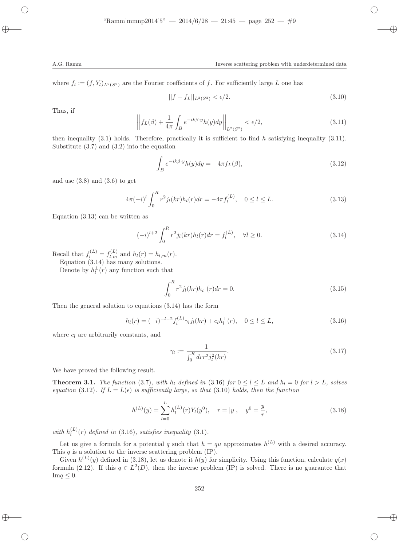where  $f_l := (f, Y_l)_{L^2(S^2)}$  are the Fourier coefficients of f. For sufficiently large L one has

$$
||f - f_L||_{L^2(S^2)} < \epsilon/2. \tag{3.10}
$$

Thus, if

$$
\left| \left| f_L(\beta) + \frac{1}{4\pi} \int_B e^{-ik\beta \cdot y} h(y) dy \right| \right|_{L^2(S^2)} < \epsilon/2,
$$
\n(3.11)

then inequality  $(3.1)$  holds. Therefore, practically it is sufficient to find h satisfying inequality  $(3.11)$ . Substitute (3.7) and (3.2) into the equation

$$
\int_{B} e^{-ik\beta \cdot y} h(y) dy = -4\pi f_L(\beta),\tag{3.12}
$$

and use  $(3.8)$  and  $(3.6)$  to get

$$
4\pi(-i)^{l} \int_{0}^{R} r^{2} j_{l}(kr) h_{l}(r) dr = -4\pi f_{l}^{(L)}, \quad 0 \le l \le L.
$$
 (3.13)

Equation (3.13) can be written as

$$
(-i)^{l+2} \int_0^R r^2 j_l(kr) h_l(r) dr = f_l^{(L)}, \quad \forall l \ge 0.
$$
\n(3.14)

Recall that  $f_l^{(L)} = f_{l,m}^{(L)}$  and  $h_l(r) = h_{l,m}(r)$ .

Equation (3.14) has many solutions.

Denote by  $h_l^{\perp}(r)$  any function such that

$$
\int_{0}^{R} r^{2} j_{l}(kr) h_{l}^{\perp}(r) dr = 0.
$$
\n(3.15)

Then the general solution to equations (3.14) has the form

$$
h_l(r) = (-i)^{-l-2} f_l^{(L)} \gamma_l j_l(kr) + c_l h_l^{\perp}(r), \quad 0 \le l \le L,
$$
\n(3.16)

where  $c_l$  are arbitrarily constants, and

$$
\gamma_l := \frac{1}{\int_0^R dr r^2 j_l^2(kr)}.
$$
\n(3.17)

We have proved the following result.

**Theorem 3.1.** The function (3.7), with  $h_l$  defined in (3.16) for  $0 \le l \le L$  and  $h_l = 0$  for  $l > L$ , solves equation (3.12). If  $L = L(\epsilon)$  is sufficiently large, so that (3.10) holds, then the function

$$
h^{(L)}(y) = \sum_{l=0}^{L} h_l^{(L)}(r) Y_l(y^0), \quad r = |y|, \quad y^0 = \frac{y}{r},
$$
\n(3.18)

with  $h_l^{(L)}$  $\binom{L}{l}(r)$  defined in (3.16), satisfies inequality (3.1).

Let us give a formula for a potential q such that  $h = qu$  approximates  $h^{(L)}$  with a desired accuracy. This  $q$  is a solution to the inverse scattering problem  $(IP)$ .

Given  $h^{(L)}(y)$  defined in (3.18), let us denote it  $h(y)$  for simplicity. Using this function, calculate  $q(x)$ formula (2.12). If this  $q \in L^2(D)$ , then the inverse problem (IP) is solved. There is no guarantee that  $\text{Im}q \leq 0$ .